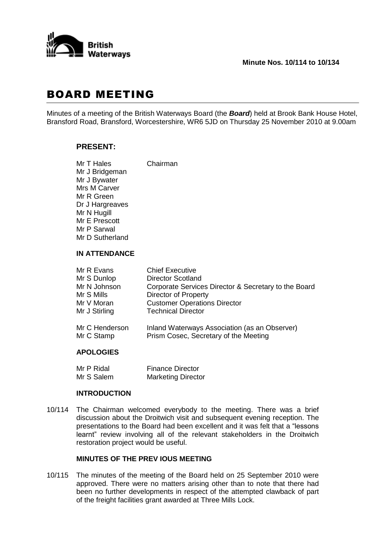

# BOARD MEETING

Minutes of a meeting of the British Waterways Board (the *Board*) held at Brook Bank House Hotel, Bransford Road, Bransford, Worcestershire, WR6 5JD on Thursday 25 November 2010 at 9.00am

# **PRESENT:**

Mr T Hales Chairman Mr J Bridgeman Mr J Bywater Mrs M Carver Mr R Green Dr J Hargreaves Mr N Hugill Mr E Prescott Mr P Sarwal Mr D Sutherland

# **IN ATTENDANCE**

| Mr R Evans       | <b>Chief Executive</b>                               |
|------------------|------------------------------------------------------|
| Mr S Dunlop      | <b>Director Scotland</b>                             |
| Mr N Johnson     | Corporate Services Director & Secretary to the Board |
| Mr S Mills       | <b>Director of Property</b>                          |
| Mr V Moran       | <b>Customer Operations Director</b>                  |
| Mr J Stirling    | <b>Technical Director</b>                            |
| Mr C Henderson   | Inland Waterways Association (as an Observer)        |
| Mr C Stamp       | Prism Cosec, Secretary of the Meeting                |
| <b>APOLOGIES</b> |                                                      |

| Mr P Ridal | <b>Finance Director</b>   |
|------------|---------------------------|
| Mr S Salem | <b>Marketing Director</b> |

# **INTRODUCTION**

10/114 The Chairman welcomed everybody to the meeting. There was a brief discussion about the Droitwich visit and subsequent evening reception. The presentations to the Board had been excellent and it was felt that a "lessons learnt" review involving all of the relevant stakeholders in the Droitwich restoration project would be useful.

# **MINUTES OF THE PREV IOUS MEETING**

10/115 The minutes of the meeting of the Board held on 25 September 2010 were approved. There were no matters arising other than to note that there had been no further developments in respect of the attempted clawback of part of the freight facilities grant awarded at Three Mills Lock.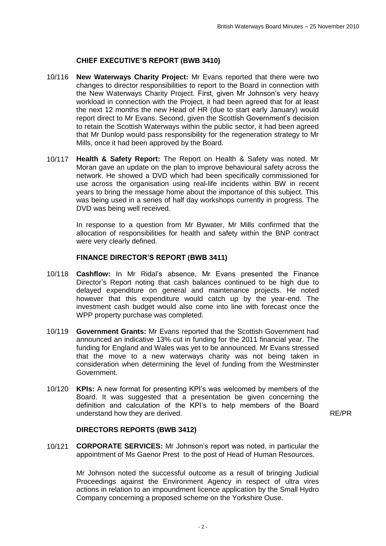# **CHIEF EXECUTIVE'S REPORT (BWB 3410)**

- 10/116 **New Waterways Charity Project:** Mr Evans reported that there were two changes to director responsibilities to report to the Board in connection with the New Waterways Charity Project. First, given Mr Johnson's very heavy workload in connection with the Project, it had been agreed that for at least the next 12 months the new Head of HR (due to start early January) would report direct to Mr Evans. Second, given the Scottish Government's decision to retain the Scottish Waterways within the public sector, it had been agreed that Mr Dunlop would pass responsibility for the regeneration strategy to Mr Mills, once it had been approved by the Board.
- 10/117 **Health & Safety Report:** The Report on Health & Safety was noted. Mr Moran gave an update on the plan to improve behavioural safety across the network. He showed a DVD which had been specifically commissioned for use across the organisation using real-life incidents within BW in recent years to bring the message home about the importance of this subject. This was being used in a series of half day workshops currently in progress. The DVD was being well received.

In response to a question from Mr Bywater, Mr Mills confirmed that the allocation of responsibilities for health and safety within the BNP contract were very clearly defined.

#### **FINANCE DIRECTOR'S REPORT (BWB 3411)**

- 10/118 **Cashflow:** In Mr Ridal's absence, Mr Evans presented the Finance Director's Report noting that cash balances continued to be high due to delayed expenditure on general and maintenance projects. He noted however that this expenditure would catch up by the year-end. The investment cash budget would also come into line with forecast once the WPP property purchase was completed.
- 10/119 **Government Grants:** Mr Evans reported that the Scottish Government had announced an indicative 13% cut in funding for the 2011 financial year. The funding for England and Wales was yet to be announced. Mr Evans stressed that the move to a new waterways charity was not being taken in consideration when determining the level of funding from the Westminster Government.
- 10/120 **KPIs:** A new format for presenting KPI's was welcomed by members of the Board. It was suggested that a presentation be given concerning the definition and calculation of the KPI's to help members of the Board understand how they are derived. The same state of the state of the RE/PR state of the RE/PR

#### **DIRECTORS REPORTS (BWB 3412)**

10/121 **CORPORATE SERVICES:** Mr Johnson's report was noted, in particular the appointment of Ms Gaenor Prest to the post of Head of Human Resources.

> Mr Johnson noted the successful outcome as a result of bringing Judicial Proceedings against the Environment Agency in respect of ultra vires actions in relation to an impoundment licence application by the Small Hydro Company concerning a proposed scheme on the Yorkshire Ouse.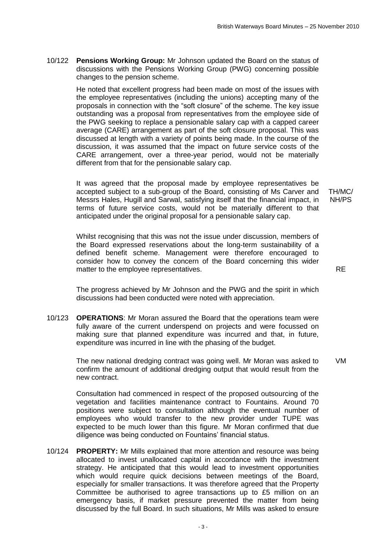10/122 **Pensions Working Group:** Mr Johnson updated the Board on the status of discussions with the Pensions Working Group (PWG) concerning possible changes to the pension scheme.

> He noted that excellent progress had been made on most of the issues with the employee representatives (including the unions) accepting many of the proposals in connection with the "soft closure" of the scheme. The key issue outstanding was a proposal from representatives from the employee side of the PWG seeking to replace a pensionable salary cap with a capped career average (CARE) arrangement as part of the soft closure proposal. This was discussed at length with a variety of points being made. In the course of the discussion, it was assumed that the impact on future service costs of the CARE arrangement, over a three-year period, would not be materially different from that for the pensionable salary cap.

It was agreed that the proposal made by employee representatives be accepted subject to a sub-group of the Board, consisting of Ms Carver and Messrs Hales, Hugill and Sarwal, satisfying itself that the financial impact, in terms of future service costs, would not be materially different to that anticipated under the original proposal for a pensionable salary cap.

TH/MC/ NH/PS

Whilst recognising that this was not the issue under discussion, members of the Board expressed reservations about the long-term sustainability of a defined benefit scheme. Management were therefore encouraged to consider how to convey the concern of the Board concerning this wider matter to the employee representatives.

The progress achieved by Mr Johnson and the PWG and the spirit in which discussions had been conducted were noted with appreciation.

10/123 **OPERATIONS**: Mr Moran assured the Board that the operations team were fully aware of the current underspend on projects and were focussed on making sure that planned expenditure was incurred and that, in future, expenditure was incurred in line with the phasing of the budget.

> The new national dredging contract was going well. Mr Moran was asked to confirm the amount of additional dredging output that would result from the new contract.

Consultation had commenced in respect of the proposed outsourcing of the vegetation and facilities maintenance contract to Fountains. Around 70 positions were subject to consultation although the eventual number of employees who would transfer to the new provider under TUPE was expected to be much lower than this figure. Mr Moran confirmed that due diligence was being conducted on Fountains' financial status.

10/124 **PROPERTY:** Mr Mills explained that more attention and resource was being allocated to invest unallocated capital in accordance with the investment strategy. He anticipated that this would lead to investment opportunities which would require quick decisions between meetings of the Board, especially for smaller transactions. It was therefore agreed that the Property Committee be authorised to agree transactions up to £5 million on an emergency basis, if market pressure prevented the matter from being discussed by the full Board. In such situations, Mr Mills was asked to ensure VM